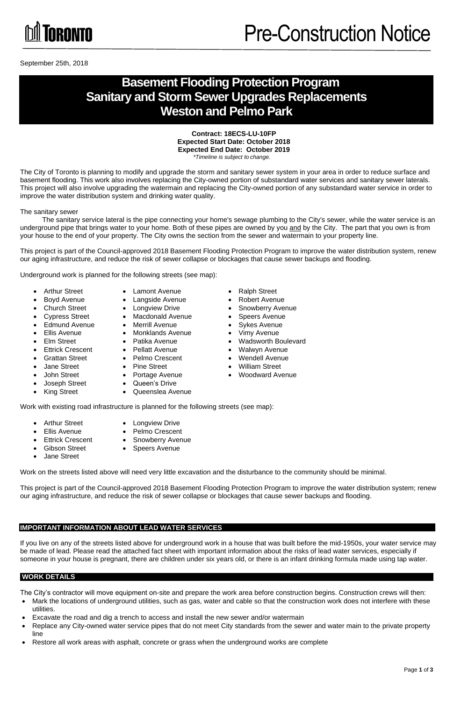

September 25th, 2018

### **Basement Flooding Protection Program Sanitary and Storm Sewer Upgrades Replacements Weston and Pelmo Park**

**Contract: 18ECS-LU-10FP Expected Start Date: October 2018 Expected End Date: October 2019** *\*Timeline is subject to change.*

The City of Toronto is planning to modify and upgrade the storm and sanitary sewer system in your area in order to reduce surface and basement flooding. This work also involves replacing the City-owned portion of substandard water services and sanitary sewer laterals. This project will also involve upgrading the watermain and replacing the City-owned portion of any substandard water service in order to improve the water distribution system and drinking water quality.

The sanitary sewer

The sanitary service lateral is the pipe connecting your home's sewage plumbing to the City's sewer, while the water service is an underground pipe that brings water to your home. Both of these pipes are owned by you and by the City. The part that you own is from your house to the end of your property. The City owns the section from the sewer and watermain to your property line.

- 
- -
- 
- Edmund Avenue Merrill Avenue Sykes Avenue
- 
- 
- -
- 
- 
- Joseph Street Queen's Drive
- Arthur Street Lamont Avenue Ralph Street
	-
	-
- Cypress Street Macdonald Avenue Speers Avenue
	-
- Ellis Avenue Monklands Avenue Vimy Avenue
	-
	-
- Grattan Street Pelmo Crescent Wendell Avenue
- Jane Street Pine Street William Street
- 
- 
- King Street Queenslea Avenue

- 
- Arthur Street Longview Drive
- Ellis Avenue Pelmo Crescent
- Ettrick Crescent Snowberry Avenue
- Gibson Street Speers Avenue
- Jane Street

This project is part of the Council-approved 2018 Basement Flooding Protection Program to improve the water distribution system, renew our aging infrastructure, and reduce the risk of sewer collapse or blockages that cause sewer backups and flooding.

Underground work is planned for the following streets (see map):

- Mark the locations of underground utilities, such as gas, water and cable so that the construction work does not interfere with these utilities.
- Excavate the road and dig a trench to access and install the new sewer and/or watermain
- Replace any City-owned water service pipes that do not meet City standards from the sewer and water main to the private property line
- Restore all work areas with asphalt, concrete or grass when the underground works are complete

Work with existing road infrastructure is planned for the following streets (see map):

Work on the streets listed above will need very little excavation and the disturbance to the community should be minimal.

This project is part of the Council-approved 2018 Basement Flooding Protection Program to improve the water distribution system; renew our aging infrastructure, and reduce the risk of sewer collapse or blockages that cause sewer backups and flooding.

- 
- Boyd Avenue Langside Avenue Robert Avenue
- Church Street Longview Drive Snowberry Avenue
	-
	-
	-
- Elm Street Patika Avenue Wadsworth Boulevard
- Ettrick Crescent Pellatt Avenue Walwyn Avenue
	-
	-
- John Street Portage Avenue Woodward Avenue

#### **IMPORTANT INFORMATION ABOUT LEAD WATER SERVICES**

If you live on any of the streets listed above for underground work in a house that was built before the mid-1950s, your water service may be made of lead. Please read the attached fact sheet with important information about the risks of lead water services, especially if someone in your house is pregnant, there are children under six years old, or there is an infant drinking formula made using tap water.

#### **WORK DETAILS**

The City's contractor will move equipment on-site and prepare the work area before construction begins. Construction crews will then: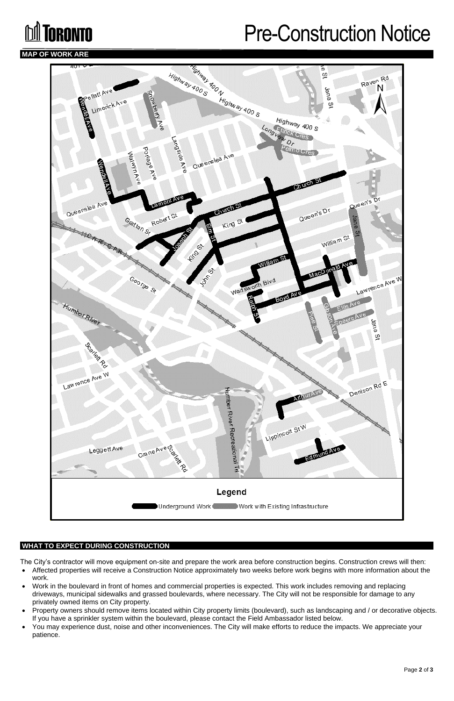# **MI** TORONTO

## Pre-Construction Notice

#### **MAP OF WORK ARE**



#### **WHAT TO EXPECT DURING CONSTRUCTION**

The City's contractor will move equipment on-site and prepare the work area before construction begins. Construction crews will then:

- Affected properties will receive a Construction Notice approximately two weeks before work begins with more information about the work.
- Work in the boulevard in front of homes and commercial properties is expected. This work includes removing and replacing driveways, municipal sidewalks and grassed boulevards, where necessary. The City will not be responsible for damage to any privately owned items on City property.
- Property owners should remove items located within City property limits (boulevard), such as landscaping and / or decorative objects. If you have a sprinkler system within the boulevard, please contact the Field Ambassador listed below.
- You may experience dust, noise and other inconveniences. The City will make efforts to reduce the impacts. We appreciate your patience.